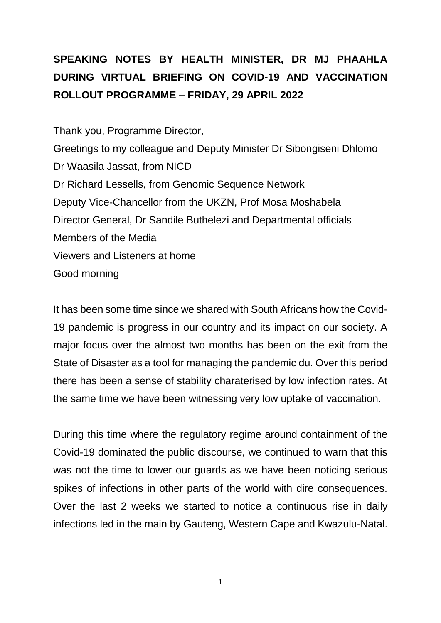## **SPEAKING NOTES BY HEALTH MINISTER, DR MJ PHAAHLA DURING VIRTUAL BRIEFING ON COVID-19 AND VACCINATION ROLLOUT PROGRAMME – FRIDAY, 29 APRIL 2022**

Thank you, Programme Director, Greetings to my colleague and Deputy Minister Dr Sibongiseni Dhlomo Dr Waasila Jassat, from NICD Dr Richard Lessells, from Genomic Sequence Network Deputy Vice-Chancellor from the UKZN, Prof Mosa Moshabela Director General, Dr Sandile Buthelezi and Departmental officials Members of the Media Viewers and Listeners at home Good morning

It has been some time since we shared with South Africans how the Covid-19 pandemic is progress in our country and its impact on our society. A major focus over the almost two months has been on the exit from the State of Disaster as a tool for managing the pandemic du. Over this period there has been a sense of stability charaterised by low infection rates. At the same time we have been witnessing very low uptake of vaccination.

During this time where the regulatory regime around containment of the Covid-19 dominated the public discourse, we continued to warn that this was not the time to lower our guards as we have been noticing serious spikes of infections in other parts of the world with dire consequences. Over the last 2 weeks we started to notice a continuous rise in daily infections led in the main by Gauteng, Western Cape and Kwazulu-Natal.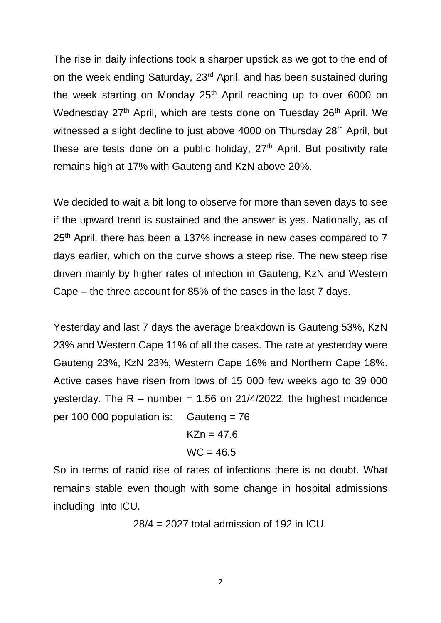The rise in daily infections took a sharper upstick as we got to the end of on the week ending Saturday, 23rd April, and has been sustained during the week starting on Monday 25<sup>th</sup> April reaching up to over 6000 on Wednesday 27<sup>th</sup> April, which are tests done on Tuesday 26<sup>th</sup> April. We witnessed a slight decline to just above 4000 on Thursday 28<sup>th</sup> April, but these are tests done on a public holiday,  $27<sup>th</sup>$  April. But positivity rate remains high at 17% with Gauteng and KzN above 20%.

We decided to wait a bit long to observe for more than seven days to see if the upward trend is sustained and the answer is yes. Nationally, as of 25<sup>th</sup> April, there has been a 137% increase in new cases compared to 7 days earlier, which on the curve shows a steep rise. The new steep rise driven mainly by higher rates of infection in Gauteng, KzN and Western Cape – the three account for 85% of the cases in the last 7 days.

Yesterday and last 7 days the average breakdown is Gauteng 53%, KzN 23% and Western Cape 11% of all the cases. The rate at yesterday were Gauteng 23%, KzN 23%, Western Cape 16% and Northern Cape 18%. Active cases have risen from lows of 15 000 few weeks ago to 39 000 yesterday. The  $R -$  number = 1.56 on 21/4/2022, the highest incidence per 100 000 population is: Gauteng = 76

$$
KZn = 47.6
$$

$$
WC = 46.5
$$

So in terms of rapid rise of rates of infections there is no doubt. What remains stable even though with some change in hospital admissions including into ICU.

28/4 = 2027 total admission of 192 in ICU.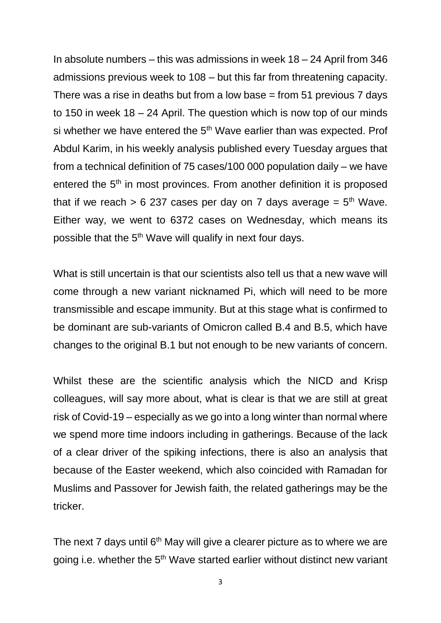In absolute numbers – this was admissions in week  $18 - 24$  April from 346 admissions previous week to 108 – but this far from threatening capacity. There was a rise in deaths but from a low base  $=$  from 51 previous 7 days to 150 in week 18 – 24 April. The question which is now top of our minds si whether we have entered the 5<sup>th</sup> Wave earlier than was expected. Prof Abdul Karim, in his weekly analysis published every Tuesday argues that from a technical definition of 75 cases/100 000 population daily – we have entered the 5<sup>th</sup> in most provinces. From another definition it is proposed that if we reach  $> 6$  237 cases per day on 7 days average =  $5<sup>th</sup>$  Wave. Either way, we went to 6372 cases on Wednesday, which means its possible that the 5<sup>th</sup> Wave will qualify in next four days.

What is still uncertain is that our scientists also tell us that a new wave will come through a new variant nicknamed Pi, which will need to be more transmissible and escape immunity. But at this stage what is confirmed to be dominant are sub-variants of Omicron called B.4 and B.5, which have changes to the original B.1 but not enough to be new variants of concern.

Whilst these are the scientific analysis which the NICD and Krisp colleagues, will say more about, what is clear is that we are still at great risk of Covid-19 – especially as we go into a long winter than normal where we spend more time indoors including in gatherings. Because of the lack of a clear driver of the spiking infections, there is also an analysis that because of the Easter weekend, which also coincided with Ramadan for Muslims and Passover for Jewish faith, the related gatherings may be the tricker.

The next 7 days until  $6<sup>th</sup>$  May will give a clearer picture as to where we are going i.e. whether the 5<sup>th</sup> Wave started earlier without distinct new variant